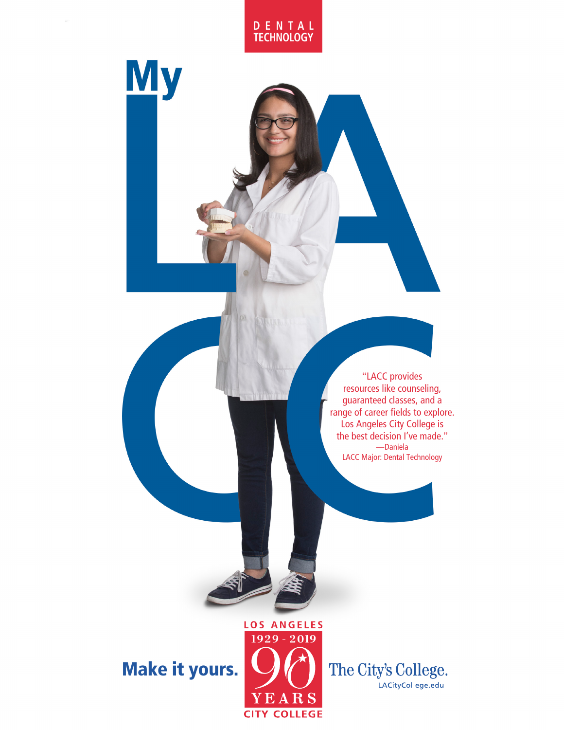

**My** 

"LACC provides resources like counseling, guaranteed classes, and a range of career fields to explore. Los Angeles City College is the best decision I've made." —Daniela LACC Major: Dental Technology

## Make it yours.



The City's College. LACityCollege.edu